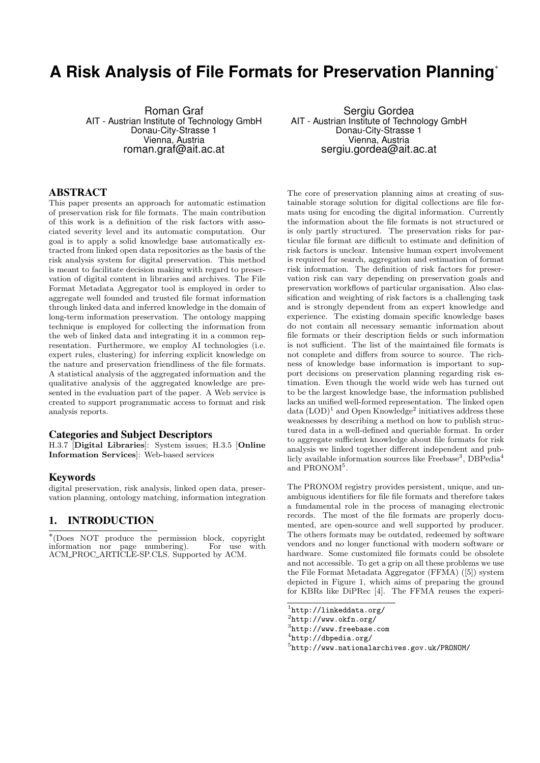# **A Risk Analysis of File Formats for Preservation Planning**<sup>∗</sup>

Roman Graf AIT - Austrian Institute of Technology GmbH Donau-City-Strasse 1 Vienna, Austria roman.graf@ait.ac.at

# ABSTRACT

This paper presents an approach for automatic estimation of preservation risk for file formats. The main contribution of this work is a definition of the risk factors with associated severity level and its automatic computation. Our goal is to apply a solid knowledge base automatically extracted from linked open data repositories as the basis of the risk analysis system for digital preservation. This method is meant to facilitate decision making with regard to preservation of digital content in libraries and archives. The File Format Metadata Aggregator tool is employed in order to aggregate well founded and trusted file format information through linked data and inferred knowledge in the domain of long-term information preservation. The ontology mapping technique is employed for collecting the information from the web of linked data and integrating it in a common representation. Furthermore, we employ AI technologies (i.e. expert rules, clustering) for inferring explicit knowledge on the nature and preservation friendliness of the file formats. A statistical analysis of the aggregated information and the qualitative analysis of the aggregated knowledge are presented in the evaluation part of the paper. A Web service is created to support programmatic access to format and risk analysis reports.

#### Categories and Subject Descriptors

H.3.7 [Digital Libraries]: System issues; H.3.5 [Online Information Services]: Web-based services

#### Keywords

digital preservation, risk analysis, linked open data, preservation planning, ontology matching, information integration

### 1. INTRODUCTION

∗ (Does NOT produce the permission block, copyright information nor page numbering). For use with ACM PROC ARTICLE-SP.CLS. Supported by ACM.

Sergiu Gordea AIT - Austrian Institute of Technology GmbH Donau-City-Strasse 1 Vienna, Austria sergiu.gordea@ait.ac.at

The core of preservation planning aims at creating of sustainable storage solution for digital collections are file formats using for encoding the digital information. Currently the information about the file formats is not structured or is only partly structured. The preservation risks for particular file format are difficult to estimate and definition of risk factors is unclear. Intensive human expert involvement is required for search, aggregation and estimation of format risk information. The definition of risk factors for preservation risk can vary depending on preservation goals and preservation workflows of particular organisation. Also classification and weighting of risk factors is a challenging task and is strongly dependent from an expert knowledge and experience. The existing domain specific knowledge bases do not contain all necessary semantic information about file formats or their description fields or such information is not sufficient. The list of the maintained file formats is not complete and differs from source to source. The richness of knowledge base information is important to support decisions on preservation planning regarding risk estimation. Even though the world wide web has turned out to be the largest knowledge base, the information published lacks an unified well-formed representation. The linked open data  $(LOD)^1$  and Open Knowledge<sup>2</sup> initiatives address these weaknesses by describing a method on how to publish structured data in a well-defined and queriable format. In order to aggregate sufficient knowledge about file formats for risk analysis we linked together different independent and publicly available information sources like Freebase<sup>3</sup>, DBPedia<sup>4</sup> and PRONOM<sup>5</sup>.

The PRONOM registry provides persistent, unique, and unambiguous identifiers for file file formats and therefore takes a fundamental role in the process of managing electronic records. The most of the file formats are properly documented, are open-source and well supported by producer. The others formats may be outdated, redeemed by software vendors and no longer functional with modern software or hardware. Some customized file formats could be obsolete and not accessible. To get a grip on all these problems we use the File Format Metadata Aggregator (FFMA) ([5]) system depicted in Figure 1, which aims of preparing the ground for KBRs like DiPRec [4]. The FFMA reuses the experi-

<sup>1</sup> http://linkeddata.org/

 $^{2}$ http://www.okfn.org/

<sup>3</sup> http://www.freebase.com

<sup>4</sup> http://dbpedia.org/

<sup>5</sup> http://www.nationalarchives.gov.uk/PRONOM/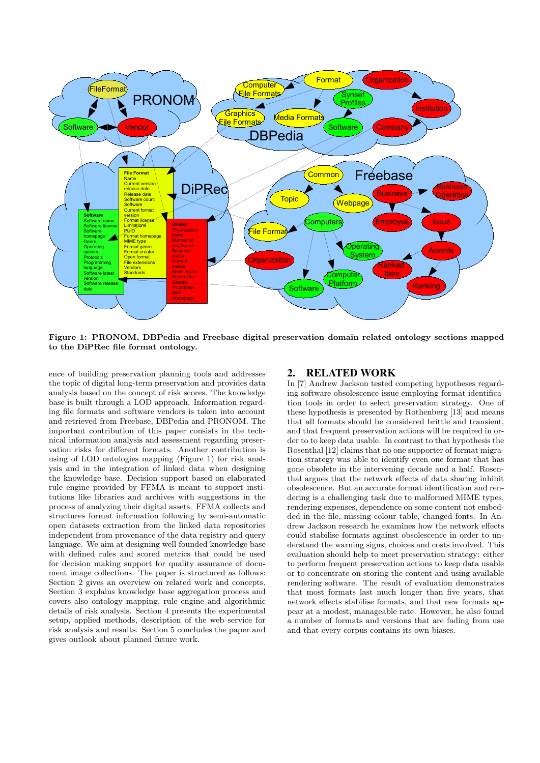

Figure 1: PRONOM, DBPedia and Freebase digital preservation domain related ontology sections mapped to the DiPRec file format ontology.

ence of building preservation planning tools and addresses the topic of digital long-term preservation and provides data analysis based on the concept of risk scores. The knowledge base is built through a LOD approach. Information regarding file formats and software vendors is taken into account and retrieved from Freebase, DBPedia and PRONOM. The important contribution of this paper consists in the technical information analysis and assessment regarding preservation risks for different formats. Another contribution is using of LOD ontologies mapping (Figure 1) for risk analysis and in the integration of linked data when designing the knowledge base. Decision support based on elaborated rule engine provided by FFMA is meant to support institutions like libraries and archives with suggestions in the process of analyzing their digital assets. FFMA collects and structures format information following by semi-automatic open datasets extraction from the linked data repositories independent from provenance of the data registry and query language. We aim at designing well founded knowledge base with defined rules and scored metrics that could be used for decision making support for quality assurance of document image collections. The paper is structured as follows: Section 2 gives an overview on related work and concepts. Section 3 explains knowledge base aggregation process and covers also ontology mapping, rule engine and algorithmic details of risk analysis. Section 4 presents the experimental setup, applied methods, description of the web service for risk analysis and results. Section 5 concludes the paper and gives outlook about planned future work.

## 2. RELATED WORK

In [7] Andrew Jackson tested competing hypotheses regarding software obsolescence issue employing format identification tools in order to select preservation strategy. One of these hypothesis is presented by Rothenberg [13] and means that all formats should be considered brittle and transient, and that frequent preservation actions will be required in order to to keep data usable. In contrast to that hypothesis the Rosenthal [12] claims that no one supporter of format migration strategy was able to identify even one format that has gone obsolete in the intervening decade and a half. Rosenthal argues that the network effects of data sharing inhibit obsolescence. But an accurate format identification and rendering is a challenging task due to malformed MIME types, rendering expenses, dependence on some content not embedded in the file, missing colour table, changed fonts. In Andrew Jackson research he examines how the network effects could stabilise formats against obsolescence in order to understand the warning signs, choices and costs involved. This evaluation should help to meet preservation strategy: either to perform frequent preservation actions to keep data usable or to concentrate on storing the content and using available rendering software. The result of evaluation demonstrates that most formats last much longer than five years, that network effects stabilise formats, and that new formats appear at a modest, manageable rate. However, he also found a number of formats and versions that are fading from use and that every corpus contains its own biases.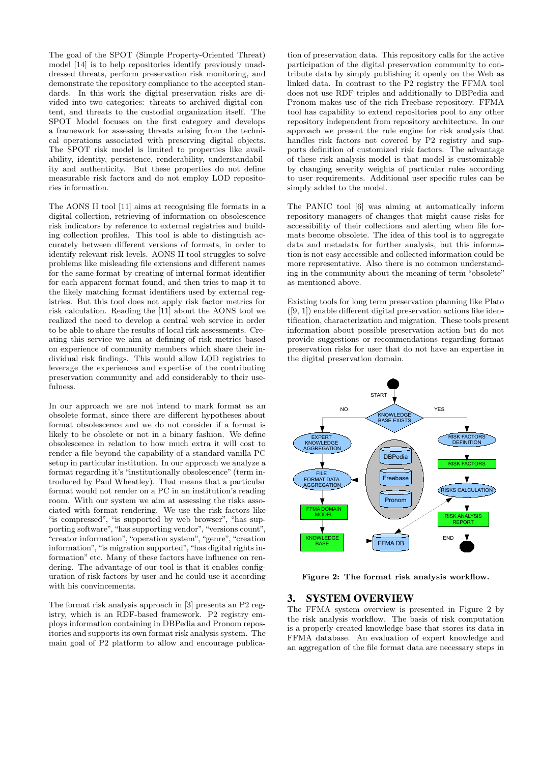The goal of the SPOT (Simple Property-Oriented Threat) model [14] is to help repositories identify previously unaddressed threats, perform preservation risk monitoring, and demonstrate the repository compliance to the accepted standards. In this work the digital preservation risks are divided into two categories: threats to archived digital content, and threats to the custodial organization itself. The SPOT Model focuses on the first category and develops a framework for assessing threats arising from the technical operations associated with preserving digital objects. The SPOT risk model is limited to properties like availability, identity, persistence, renderability, understandability and authenticity. But these properties do not define measurable risk factors and do not employ LOD repositories information.

The AONS II tool [11] aims at recognising file formats in a digital collection, retrieving of information on obsolescence risk indicators by reference to external registries and building collection profiles. This tool is able to distinguish accurately between different versions of formats, in order to identify relevant risk levels. AONS II tool struggles to solve problems like misleading file extensions and different names for the same format by creating of internal format identifier for each apparent format found, and then tries to map it to the likely matching format identifiers used by external registries. But this tool does not apply risk factor metrics for risk calculation. Reading the [11] about the AONS tool we realized the need to develop a central web service in order to be able to share the results of local risk assessments. Creating this service we aim at defining of risk metrics based on experience of community members which share their individual risk findings. This would allow LOD registries to leverage the experiences and expertise of the contributing preservation community and add considerably to their usefulness.

In our approach we are not intend to mark format as an obsolete format, since there are different hypotheses about format obsolescence and we do not consider if a format is likely to be obsolete or not in a binary fashion. We define obsolescence in relation to how much extra it will cost to render a file beyond the capability of a standard vanilla PC setup in particular institution. In our approach we analyze a format regarding it's "institutionally obsolescence" (term introduced by Paul Wheatley). That means that a particular format would not render on a PC in an institution's reading room. With our system we aim at assessing the risks associated with format rendering. We use the risk factors like "is compressed", "is supported by web browser", "has supporting software", "has supporting vendor", "versions count", "creator information", "operation system", "genre", "creation information", "is migration supported", "has digital rights information" etc. Many of these factors have influence on rendering. The advantage of our tool is that it enables configuration of risk factors by user and he could use it according with his convincements.

The format risk analysis approach in [3] presents an P2 registry, which is an RDF-based framework. P2 registry employs information containing in DBPedia and Pronom repositories and supports its own format risk analysis system. The main goal of P2 platform to allow and encourage publica-

tion of preservation data. This repository calls for the active participation of the digital preservation community to contribute data by simply publishing it openly on the Web as linked data. In contrast to the P2 registry the FFMA tool does not use RDF triples and additionally to DBPedia and Pronom makes use of the rich Freebase repository. FFMA tool has capability to extend repositories pool to any other repository independent from repository architecture. In our approach we present the rule engine for risk analysis that handles risk factors not covered by P2 registry and supports definition of customized risk factors. The advantage of these risk analysis model is that model is customizable by changing severity weights of particular rules according to user requirements. Additional user specific rules can be simply added to the model.

The PANIC tool [6] was aiming at automatically inform repository managers of changes that might cause risks for accessibility of their collections and alerting when file formats become obsolete. The idea of this tool is to aggregate data and metadata for further analysis, but this information is not easy accessible and collected information could be more representative. Also there is no common understanding in the community about the meaning of term "obsolete" as mentioned above.

Existing tools for long term preservation planning like Plato ([9, 1]) enable different digital preservation actions like identification, characterization and migration. These tools present information about possible preservation action but do not provide suggestions or recommendations regarding format preservation risks for user that do not have an expertise in the digital preservation domain.



Figure 2: The format risk analysis workflow.

## 3. SYSTEM OVERVIEW

The FFMA system overview is presented in Figure 2 by the risk analysis workflow. The basis of risk computation is a properly created knowledge base that stores its data in FFMA database. An evaluation of expert knowledge and an aggregation of the file format data are necessary steps in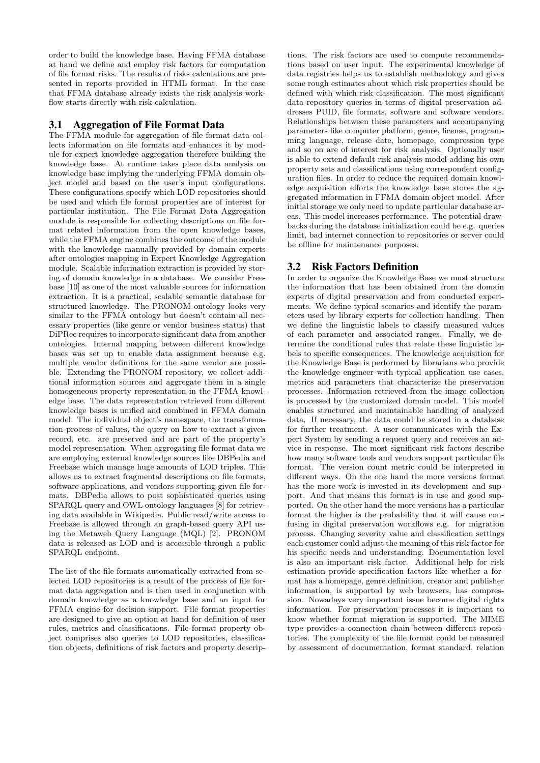order to build the knowledge base. Having FFMA database at hand we define and employ risk factors for computation of file format risks. The results of risks calculations are presented in reports provided in HTML format. In the case that FFMA database already exists the risk analysis workflow starts directly with risk calculation.

## 3.1 Aggregation of File Format Data

The FFMA module for aggregation of file format data collects information on file formats and enhances it by module for expert knowledge aggregation therefore building the knowledge base. At runtime takes place data analysis on knowledge base implying the underlying FFMA domain object model and based on the user's input configurations. These configurations specify which LOD repositories should be used and which file format properties are of interest for particular institution. The File Format Data Aggregation module is responsible for collecting descriptions on file format related information from the open knowledge bases, while the FFMA engine combines the outcome of the module with the knowledge manually provided by domain experts after ontologies mapping in Expert Knowledge Aggregation module. Scalable information extraction is provided by storing of domain knowledge in a database. We consider Freebase [10] as one of the most valuable sources for information extraction. It is a practical, scalable semantic database for structured knowledge. The PRONOM ontology looks very similar to the FFMA ontology but doesn't contain all necessary properties (like genre or vendor business status) that DiPRec requires to incorporate significant data from another ontologies. Internal mapping between different knowledge bases was set up to enable data assignment because e.g. multiple vendor definitions for the same vendor are possible. Extending the PRONOM repository, we collect additional information sources and aggregate them in a single homogeneous property representation in the FFMA knowledge base. The data representation retrieved from different knowledge bases is unified and combined in FFMA domain model. The individual object's namespace, the transformation process of values, the query on how to extract a given record, etc. are preserved and are part of the property's model representation. When aggregating file format data we are employing external knowledge sources like DBPedia and Freebase which manage huge amounts of LOD triples. This allows us to extract fragmental descriptions on file formats, software applications, and vendors supporting given file formats. DBPedia allows to post sophisticated queries using SPARQL query and OWL ontology languages [8] for retrieving data available in Wikipedia. Public read/write access to Freebase is allowed through an graph-based query API using the Metaweb Query Language (MQL) [2]. PRONOM data is released as LOD and is accessible through a public SPARQL endpoint.

The list of the file formats automatically extracted from selected LOD repositories is a result of the process of file format data aggregation and is then used in conjunction with domain knowledge as a knowledge base and an input for FFMA engine for decision support. File format properties are designed to give an option at hand for definition of user rules, metrics and classifications. File format property object comprises also queries to LOD repositories, classification objects, definitions of risk factors and property descrip-

tions. The risk factors are used to compute recommendations based on user input. The experimental knowledge of data registries helps us to establish methodology and gives some rough estimates about which risk properties should be defined with which risk classification. The most significant data repository queries in terms of digital preservation addresses PUID, file formats, software and software vendors. Relationships between these parameters and accompanying parameters like computer platform, genre, license, programming language, release date, homepage, compression type and so on are of interest for risk analysis. Optionally user is able to extend default risk analysis model adding his own property sets and classifications using correspondent configuration files. In order to reduce the required domain knowledge acquisition efforts the knowledge base stores the aggregated information in FFMA domain object model. After initial storage we only need to update particular database areas. This model increases performance. The potential drawbacks during the database initialization could be e.g. queries limit, bad internet connection to repositories or server could be offline for maintenance purposes.

# 3.2 Risk Factors Definition

In order to organize the Knowledge Base we must structure the information that has been obtained from the domain experts of digital preservation and from conducted experiments. We define typical scenarios and identify the parameters used by library experts for collection handling. Then we define the linguistic labels to classify measured values of each parameter and associated ranges. Finally, we determine the conditional rules that relate these linguistic labels to specific consequences. The knowledge acquisition for the Knowledge Base is performed by librarians who provide the knowledge engineer with typical application use cases, metrics and parameters that characterize the preservation processes. Information retrieved from the image collection is processed by the customized domain model. This model enables structured and maintainable handling of analyzed data. If necessary, the data could be stored in a database for further treatment. A user communicates with the Expert System by sending a request query and receives an advice in response. The most significant risk factors describe how many software tools and vendors support particular file format. The version count metric could be interpreted in different ways. On the one hand the more versions format has the more work is invested in its development and support. And that means this format is in use and good supported. On the other hand the more versions has a particular format the higher is the probability that it will cause confusing in digital preservation workflows e.g. for migration process. Changing severity value and classification settings each customer could adjust the meaning of this risk factor for his specific needs and understanding. Documentation level is also an important risk factor. Additional help for risk estimation provide specification factors like whether a format has a homepage, genre definition, creator and publisher information, is supported by web browsers, has compression. Nowadays very important issue become digital rights information. For preservation processes it is important to know whether format migration is supported. The MIME type provides a connection chain between different repositories. The complexity of the file format could be measured by assessment of documentation, format standard, relation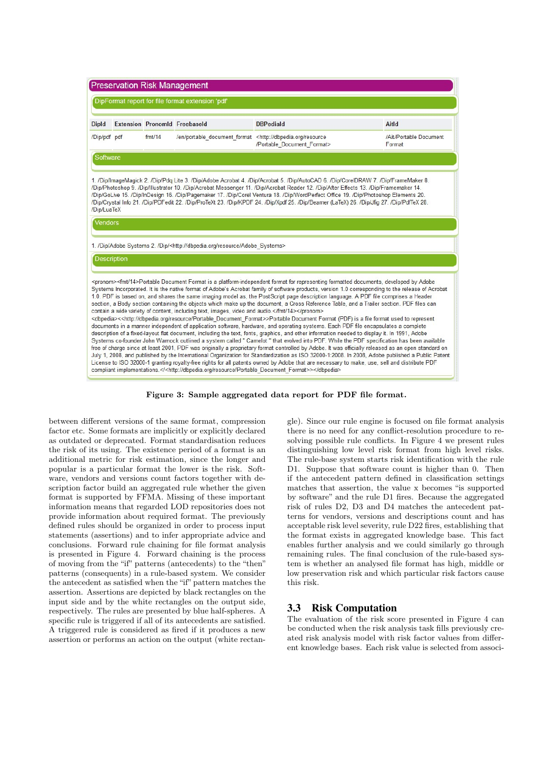

Figure 3: Sample aggregated data report for PDF file format.

between different versions of the same format, compression factor etc. Some formats are implicitly or explicitly declared as outdated or deprecated. Format standardisation reduces the risk of its using. The existence period of a format is an additional metric for risk estimation, since the longer and popular is a particular format the lower is the risk. Software, vendors and versions count factors together with description factor build an aggregated rule whether the given format is supported by FFMA. Missing of these important information means that regarded LOD repositories does not provide information about required format. The previously defined rules should be organized in order to process input statements (assertions) and to infer appropriate advice and conclusions. Forward rule chaining for file format analysis is presented in Figure 4. Forward chaining is the process of moving from the "if" patterns (antecedents) to the "then" patterns (consequents) in a rule-based system. We consider the antecedent as satisfied when the "if" pattern matches the assertion. Assertions are depicted by black rectangles on the input side and by the white rectangles on the output side, respectively. The rules are presented by blue half-spheres. A specific rule is triggered if all of its antecedents are satisfied. A triggered rule is considered as fired if it produces a new assertion or performs an action on the output (white rectan-

gle). Since our rule engine is focused on file format analysis there is no need for any conflict-resolution procedure to resolving possible rule conflicts. In Figure 4 we present rules distinguishing low level risk format from high level risks. The rule-base system starts risk identification with the rule D1. Suppose that software count is higher than 0. Then if the antecedent pattern defined in classification settings matches that assertion, the value x becomes "is supported by software" and the rule D1 fires. Because the aggregated risk of rules D2, D3 and D4 matches the antecedent patterns for vendors, versions and descriptions count and has acceptable risk level severity, rule D22 fires, establishing that the format exists in aggregated knowledge base. This fact enables further analysis and we could similarly go through remaining rules. The final conclusion of the rule-based system is whether an analysed file format has high, middle or low preservation risk and which particular risk factors cause this risk.

#### 3.3 Risk Computation

The evaluation of the risk score presented in Figure 4 can be conducted when the risk analysis task fills previously created risk analysis model with risk factor values from different knowledge bases. Each risk value is selected from associ-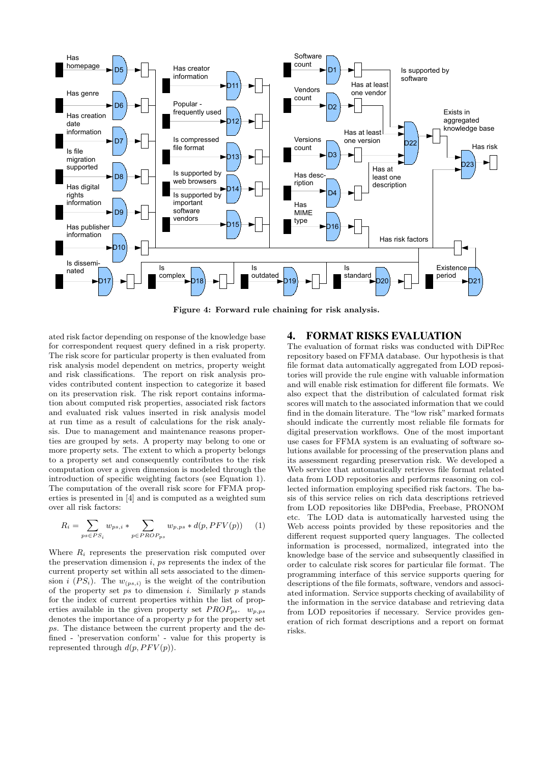

Figure 4: Forward rule chaining for risk analysis.

ated risk factor depending on response of the knowledge base for correspondent request query defined in a risk property. The risk score for particular property is then evaluated from risk analysis model dependent on metrics, property weight and risk classifications. The report on risk analysis provides contributed content inspection to categorize it based on its preservation risk. The risk report contains information about computed risk properties, associated risk factors and evaluated risk values inserted in risk analysis model at run time as a result of calculations for the risk analysis. Due to management and maintenance reasons properties are grouped by sets. A property may belong to one or more property sets. The extent to which a property belongs to a property set and consequently contributes to the risk computation over a given dimension is modeled through the introduction of specific weighting factors (see Equation 1). The computation of the overall risk score for FFMA properties is presented in [4] and is computed as a weighted sum over all risk factors:

$$
R_i = \sum_{ps \in PS_i} w_{ps,i} * \sum_{p \in PROP_{ps}} w_{p,ps} * d(p, PFV(p)) \qquad (1)
$$

Where  $R_i$  represents the preservation risk computed over the preservation dimension  $i$ ,  $ps$  represents the index of the current property set within all sets associated to the dimension i  $(PS_i)$ . The  $w_{(ps,i)}$  is the weight of the contribution of the property set  $\overline{ps}$  to dimension *i*. Similarly  $p$  stands for the index of current properties within the list of properties available in the given property set  $PROP_{ps}$ .  $w_{p,ps}$ denotes the importance of a property  $p$  for the property set ps. The distance between the current property and the defined - 'preservation conform' - value for this property is represented through  $d(p, PFV(p))$ .

# 4. FORMAT RISKS EVALUATION

The evaluation of format risks was conducted with DiPRec repository based on FFMA database. Our hypothesis is that file format data automatically aggregated from LOD repositories will provide the rule engine with valuable information and will enable risk estimation for different file formats. We also expect that the distribution of calculated format risk scores will match to the associated information that we could find in the domain literature. The "low risk" marked formats should indicate the currently most reliable file formats for digital preservation workflows. One of the most important use cases for FFMA system is an evaluating of software solutions available for processing of the preservation plans and its assessment regarding preservation risk. We developed a Web service that automatically retrieves file format related data from LOD repositories and performs reasoning on collected information employing specified risk factors. The basis of this service relies on rich data descriptions retrieved from LOD repositories like DBPedia, Freebase, PRONOM etc. The LOD data is automatically harvested using the Web access points provided by these repositories and the different request supported query languages. The collected information is processed, normalized, integrated into the knowledge base of the service and subsequently classified in order to calculate risk scores for particular file format. The programming interface of this service supports quering for descriptions of the file formats, software, vendors and associated information. Service supports checking of availability of the information in the service database and retrieving data from LOD repositories if necessary. Service provides generation of rich format descriptions and a report on format risks.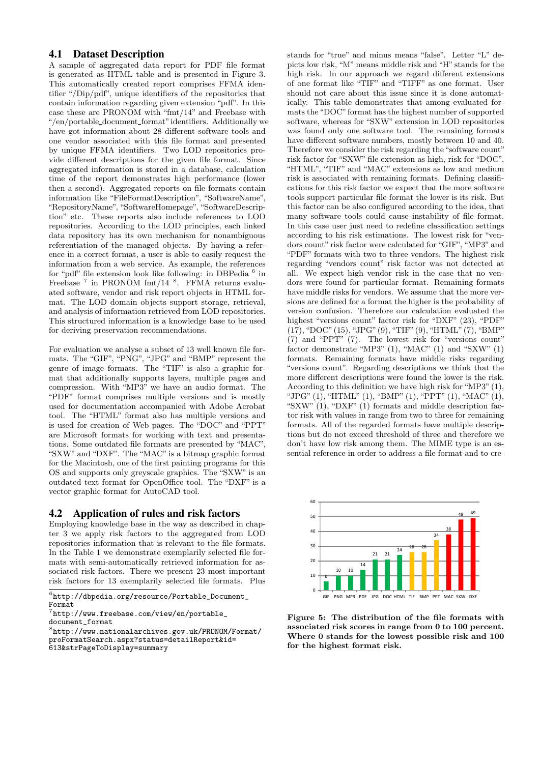## 4.1 Dataset Description

A sample of aggregated data report for PDF file format is generated as HTML table and is presented in Figure 3. This automatically created report comprises FFMA identifier "/Dip/pdf", unique identifiers of the repositories that contain information regarding given extension "pdf". In this case these are PRONOM with "fmt/14" and Freebase with "/en/portable document format"identifiers. Additionally we have got information about 28 different software tools and one vendor associated with this file format and presented by unique FFMA identifiers. Two LOD repositories provide different descriptions for the given file format. Since aggregated information is stored in a database, calculation time of the report demonstrates high performance (lower then a second). Aggregated reports on file formats contain information like "FileFormatDescription", "SoftwareName", "RepositoryName", "SoftwareHomepage", "SoftwareDescription" etc. These reports also include references to LOD repositories. According to the LOD principles, each linked data repository has its own mechanism for nonambiguous referentiation of the managed objects. By having a reference in a correct format, a user is able to easily request the information from a web service. As example, the references for "pdf" file extension look like following: in DBPedia <sup>6</sup> in Freebase<sup>7</sup> in PRONOM fmt/14<sup>8</sup>. FFMA returns evaluated software, vendor and risk report objects in HTML format. The LOD domain objects support storage, retrieval, and analysis of information retrieved from LOD repositories. This structured information is a knowledge base to be used for deriving preservation recommendations.

For evaluation we analyse a subset of 13 well known file formats. The "GIF", "PNG", "JPG" and "BMP" represent the genre of image formats. The "TIF" is also a graphic format that additionally supports layers, multiple pages and compression. With "MP3" we have an audio format. The "PDF" format comprises multiple versions and is mostly used for documentation accompanied with Adobe Acrobat tool. The "HTML" format also has multiple versions and is used for creation of Web pages. The "DOC" and "PPT" are Microsoft formats for working with text and presentations. Some outdated file formats are presented by "MAC", "SXW" and "DXF". The "MAC" is a bitmap graphic format for the Macintosh, one of the first painting programs for this OS and supports only greyscale graphics. The "SXW" is an outdated text format for OpenOffice tool. The "DXF" is a vector graphic format for AutoCAD tool.

## 4.2 Application of rules and risk factors

Employing knowledge base in the way as described in chapter 3 we apply risk factors to the aggregated from LOD repositories information that is relevant to the file formats. In the Table 1 we demonstrate exemplarily selected file formats with semi-automatically retrieved information for associated risk factors. There we present 23 most important risk factors for 13 exemplarily selected file formats. Plus stands for "true" and minus means "false". Letter "L" depicts low risk, "M" means middle risk and "H" stands for the high risk. In our approach we regard different extensions of one format like "TIF" and "TIFF" as one format. User should not care about this issue since it is done automatically. This table demonstrates that among evaluated formats the "DOC" format has the highest number of supported software, whereas for "SXW" extension in LOD repositories was found only one software tool. The remaining formats have different software numbers, mostly between 10 and 40. Therefore we consider the risk regarding the "software count" risk factor for "SXW" file extension as high, risk for "DOC", "HTML", "TIF" and "MAC" extensions as low and medium risk is associated with remaining formats. Defining classifications for this risk factor we expect that the more software tools support particular file format the lower is its risk. But this factor can be also configured according to the idea, that many software tools could cause instability of file format. In this case user just need to redefine classification settings according to his risk estimations. The lowest risk for "vendors count" risk factor were calculated for "GIF", "MP3" and "PDF" formats with two to three vendors. The highest risk regarding "vendors count" risk factor was not detected at all. We expect high vendor risk in the case that no vendors were found for particular format. Remaining formats have middle risks for vendors. We assume that the more versions are defined for a format the higher is the probability of version confusion. Therefore our calculation evaluated the highest "versions count" factor risk for "DXF" (23), "PDF" (17), "DOC" (15), "JPG" (9), "TIF" (9), "HTML" (7), "BMP" (7) and "PPT" (7). The lowest risk for "versions count" factor demonstrate "MP3" (1), "MAC" (1) and "SXW" (1) formats. Remaining formats have middle risks regarding "versions count". Regarding descriptions we think that the more different descriptions were found the lower is the risk. According to this definition we have high risk for "MP3" (1), "JPG" (1), "HTML" (1), "BMP" (1), "PPT" (1), "MAC" (1), " $S X W''(1)$ , " $D X F''(1)$  formats and middle description factor risk with values in range from two to three for remaining formats. All of the regarded formats have multiple descriptions but do not exceed threshold of three and therefore we don't have low risk among them. The MIME type is an essential reference in order to address a file format and to cre-



Figure 5: The distribution of the file formats with associated risk scores in range from 0 to 100 percent. Where 0 stands for the lowest possible risk and 100 for the highest format risk.

 $^6$ http://dbpedia.org/resource/Portable\_Document\_ Format

<sup>7</sup> http://www.freebase.com/view/en/portable\_ document\_format

<sup>8</sup> http://www.nationalarchives.gov.uk/PRONOM/Format/ proFormatSearch.aspx?status=detailReport&id= 613&strPageToDisplay=summary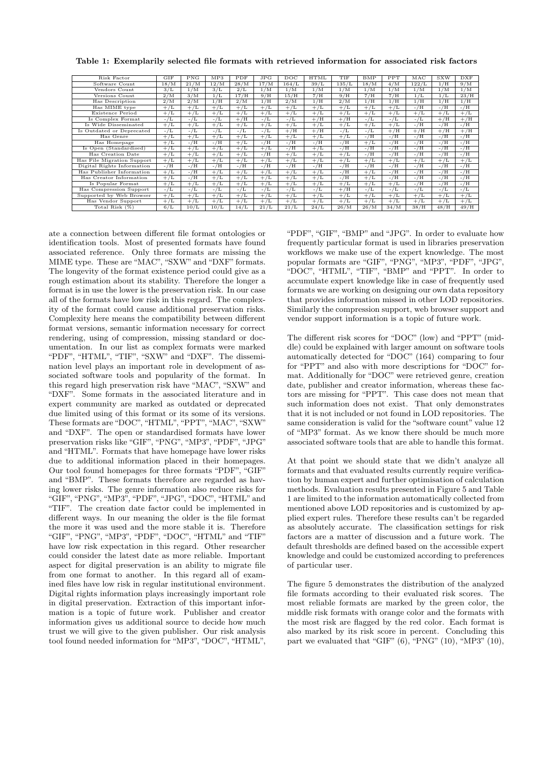| Risk Factor                | <b>GIF</b>        | <b>PNG</b> | MP3     | PDF              | JPG              | $_{\text{DOC}}$ | <b>HTML</b>      | TIF              | <b>BMP</b> | PPT              | MAC             | <b>SXW</b>       | <b>DXF</b> |
|----------------------------|-------------------|------------|---------|------------------|------------------|-----------------|------------------|------------------|------------|------------------|-----------------|------------------|------------|
| Software Count             | $18/\overline{M}$ | 21/M       | 12/M    | 28/M             | 17/M             | 164/L           | 39/L             | 135/L            | 18/M       | 4/M              | 122/L           | 1/H              | 9/M        |
| Vendors Count              | 3/L               | 1/M        | 3/L     | 2/L              | 1/M              | 1/M             | 1/M              | 1/M              | 1/M        | 1/M              | 1/M             | 1/M              | 1/M        |
| Versions Count             | 2/M               | 3/M        | 1/L     | 17/H             | 9/H              | 15/H            | 7/H              | 9/H              | 7/H        | 7/H              | 1/L             | 1/L              | 23/H       |
| Has Description            | 2/M               | 2/M        | 1/H     | 2/M              | 1/H              | 2/M             | 1/H              | 2/M              | 1/H        | 1/H              | 1/H             | 1/H              | 1/H        |
| Has MIME type              | $+/L$             | $+/L$      | $+/L$   | $+/L$            | $+\overline{/L}$ | $+/L$           | $+/L$            | $+/L$            | $+/L$      | $+/L$            | $-/H$           | $-/H$            | $-/H$      |
| Existence Period           | $+/L$             | $+/L$      | $+/L$   | $+/L$            | $+/L$            | $+/L$           | $+/L$            | $+/L$            | $+/L$      | $+/L$            | $+/L$           | $+/L$            | $+/L$      |
| Is Complex Format          | $-/L$             | - / L      | $-/L$   | $+/H$            | $-/L$            | $- / L$         | $+/H$            | $+/H$            | $-/L$      | - / L            | $-/L$           | $+/\overline{H}$ | $+/H$      |
| Is Wide Disseminated       | $+/L$             | $+/L$      | $+/L$   | $+/L$            | $+/L$            | $+/L$           | $+/L$            | $+/L$            | $+/L$      | $+/\overline{L}$ | $-/H$           | $-/H$            | $-/H$      |
| Is Outdated or Deprecated  | $-/L$             | $-/L$      | $- / L$ | $-/L$            | $-/L$            | $+/H$           | $+\overline{/H}$ | $-/L$            | $-/L$      | $+\overline{/H}$ | $+\overline{H}$ | $+\overline{/H}$ | $+\/H$     |
| Has Genre                  | $+/L$             | $+/L$      | $+/L$   | $+/L$            | $+/L$            | $+/L$           | $+/L$            | $+/L$            | $-/H$      | $-/H$            | $-/H$           | $-/H$            | $-/H$      |
| Has Homepage               | $+/L$             | $-/H$      | $-/H$   | $+/L$            | $-/H$            | $-/H$           | -/H              | $-/H$            | $+/L$      | -/H              | $-/H$           | $-/H$            | $-/H$      |
| Is Open (Standardised)     | $+/L$             | $+/L$      | $+/L$   | $+/L$            | $+/L$            | $-/H$           | $+/L$            | $-/H$            | $-/H$      | $-/H$            | $-/H$           | $-/H$            | $-/H$      |
| Has Creation Date          | $+/L$             | $+/L$      | $+/L$   | $+/L$            | $-/H$            | $+/L$           | $+\overline{L}$  | $+/L$            | $-/H$      | $-/H$            | $-/H$           | $-/H$            | $-/H$      |
| Has File Migration Support | $+/L$             | $+/L$      | $+/L$   | $+/L$            | $+/L$            | $+/L$           | $+/L$            | $+/L$            | $+/L$      | $+/L$            | $+/L$           | $+/L$            | $+/L$      |
| Digital Rights Information | $-/H$             | $-/H$      | $-/H$   | $-/H$            | $-/H$            | $-/H$           | $-/H$            | $-/H$            | $-/H$      | $-/H$            | $-/H$           | $-/H$            | $-/H$      |
| Has Publisher Information  | $+/L$             | $-/H$      | $+/L$   | $+/L$            | $+/L$            | $+\sqrt{L}$     | $+/L$            | $-/H$            | $+/L$      | - / H            | $-/H$           | $-/H$            | $-/H$      |
| Has Creator Information    | $+/L$             | $-/H$      | $+/L$   | $+/L$            | $+/L$            | $+/L$           | $+/L$            | $-/H$            | $+/L$      | - / H            | $-/H$           | $-/H$            | $-/H$      |
| Is Popular Format          | $+/L$             | $+/L$      | $+/L$   | $+/L$            | $+/L$            | $+/L$           | $+/L$            | $+/L$            | $+/L$      | $+/L$            | $-/H$           | $-/H$            | $-/H$      |
| Has Compression Support    | $-/L$             | $-/L$      | $-/L$   | $-/L$            | $-/L$            | $-/L$           | $-/L$            | $+\overline{/H}$ | $-/L$      | $-/L$            | $-/L$           | $-/L$            | $-/L$      |
| Supported by Web Browser   | $+/L$             | $+/L$      | $+/L$   | $+/\overline{L}$ | $+/L$            | $+/L$           | $+\overline{L}$  | $+/L$            | $+/L$      | $+/L$            | $+/L$           | $+/L$            | $+/L$      |
| Has Vendor Support         | $+/L$             | $+/L$      | $+/L$   | $+/L$            | $+/L$            | $+/L$           | $+/L$            | $+/L$            | $+/L$      | $+/L$            | $+/L$           | $+/L$            | $+/L$      |
| Total Risk $(\%)$          | 6/L               | 10/L       | 10/L    | 14/L             | 21/L             | 21/L            | 24/L             | 26/M             | 26/M       | 34/M             | 38/H            | 48/H             | 49/H       |

Table 1: Exemplarily selected file formats with retrieved information for associated risk factors

ate a connection between different file format ontologies or identification tools. Most of presented formats have found associated reference. Only three formats are missing the MIME type. These are "MAC", "SXW" and "DXF" formats. The longevity of the format existence period could give as a rough estimation about its stability. Therefore the longer a format is in use the lower is the preservation risk. In our case all of the formats have low risk in this regard. The complexity of the format could cause additional preservation risks. Complexity here means the compatibility between different format versions, semantic information necessary for correct rendering, using of compression, missing standard or documentation. In our list as complex formats were marked "PDF", "HTML", "TIF", "SXW" and "DXF". The dissemination level plays an important role in development of associated software tools and popularity of the format. In this regard high preservation risk have "MAC", "SXW" and "DXF". Some formats in the associated literature and in expert community are marked as outdated or deprecated due limited using of this format or its some of its versions. These formats are "DOC", "HTML", "PPT", "MAC", "SXW" and "DXF". The open or standardised formats have lower preservation risks like "GIF", "PNG", "MP3", "PDF", "JPG" and "HTML". Formats that have homepage have lower risks due to additional information placed in their homepages. Our tool found homepages for three formats "PDF", "GIF" and "BMP". These formats therefore are regarded as having lower risks. The genre information also reduce risks for "GIF", "PNG", "MP3", "PDF", "JPG", "DOC", "HTML" and "TIF". The creation date factor could be implemented in different ways. In our meaning the older is the file format the more it was used and the more stable it is. Therefore "GIF", "PNG", "MP3", "PDF", "DOC", "HTML" and "TIF" have low risk expectation in this regard. Other researcher could consider the latest date as more reliable. Important aspect for digital preservation is an ability to migrate file from one format to another. In this regard all of examined files have low risk in regular institutional environment. Digital rights information plays increasingly important role in digital preservation. Extraction of this important information is a topic of future work. Publisher and creator information gives us additional source to decide how much trust we will give to the given publisher. Our risk analysis tool found needed information for "MP3", "DOC", "HTML",

"PDF", "GIF", "BMP" and "JPG". In order to evaluate how frequently particular format is used in libraries preservation workflows we make use of the expert knowledge. The most popular formats are "GIF", "PNG", "MP3", "PDF", "JPG", "DOC", "HTML", "TIF", "BMP" and "PPT". In order to accumulate expert knowledge like in case of frequently used formats we are working on designing our own data repository that provides information missed in other LOD repositories. Similarly the compression support, web browser support and vendor support information is a topic of future work.

The different risk scores for "DOC" (low) and "PPT" (middle) could be explained with larger amount on software tools automatically detected for "DOC" (164) comparing to four for "PPT" and also with more descriptions for "DOC" format. Additionally for "DOC" were retrieved genre, creation date, publisher and creator information, whereas these factors are missing for "PPT". This case does not mean that such information does not exist. That only demonstrates that it is not included or not found in LOD repositories. The same consideration is valid for the "software count" value 12 of "MP3" format. As we know there should be much more associated software tools that are able to handle this format.

At that point we should state that we didn't analyze all formats and that evaluated results currently require verification by human expert and further optimisation of calculation methods. Evaluation results presented in Figure 5 and Table 1 are limited to the information automatically collected from mentioned above LOD repositories and is customized by applied expert rules. Therefore these results can't be regarded as absolutely accurate. The classification settings for risk factors are a matter of discussion and a future work. The default thresholds are defined based on the accessible expert knowledge and could be customized according to preferences of particular user.

The figure 5 demonstrates the distribution of the analyzed file formats according to their evaluated risk scores. The most reliable formats are marked by the green color, the middle risk formats with orange color and the formats with the most risk are flagged by the red color. Each format is also marked by its risk score in percent. Concluding this part we evaluated that "GIF"  $(6)$ , "PNG"  $(10)$ , "MP3"  $(10)$ ,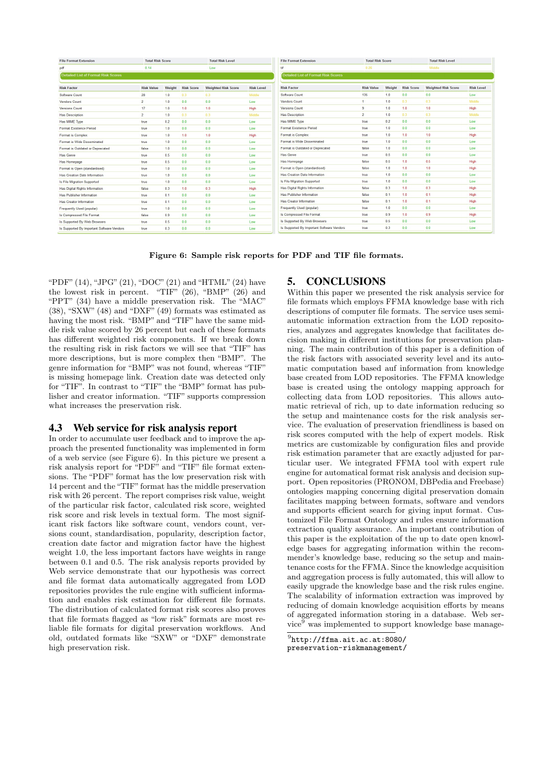| <b>File Format Extension</b>               | <b>Total Risk Score</b> |                                            |                   | <b>Total Risk Level</b>    |                   | <b>File Format Extension</b>               | <b>Total Risk Score</b> |        |                   | <b>Total Risk Level</b>    |            |  |
|--------------------------------------------|-------------------------|--------------------------------------------|-------------------|----------------------------|-------------------|--------------------------------------------|-------------------------|--------|-------------------|----------------------------|------------|--|
| pdf                                        | 0.14                    |                                            |                   | Low                        |                   | tif                                        | 0.26                    |        |                   | Middle                     |            |  |
| <b>Detailed List of Format Risk Scores</b> |                         | <b>Detailed List of Format Risk Scores</b> |                   |                            |                   |                                            |                         |        |                   |                            |            |  |
| <b>Risk Factor</b>                         | <b>Risk Value</b>       | Weight                                     | <b>Risk Score</b> | <b>Weighted Risk Score</b> | <b>Risk Level</b> | <b>Risk Factor</b>                         | <b>Risk Value</b>       | Weight | <b>Risk Score</b> | <b>Weighted Risk Score</b> | <b>Ris</b> |  |
| Software Count                             | 28                      | 1.0                                        | 0.3               | 0.3                        | Middle            | Software Count                             | 135                     | 1.0    | 0.0               | 0.0                        | Low        |  |
| Vendors Count                              | $\overline{2}$          | 1.0                                        | 0.0               | 0 <sub>0</sub>             | Low               | <b>Vendors Count</b>                       |                         | 1.0    | 0.3               | 0.3                        | Mid        |  |
| <b>Versions Count</b>                      | 17                      | 1.0                                        | 1.0               | 1.0                        | High              | <b>Versions Count</b>                      | 9                       | 1.0    | 1.0               | 1.0                        | Hig        |  |
| <b>Has Description</b>                     | 2                       | 1.0                                        | 0.3               | 0.3                        | Middle            | <b>Has Description</b>                     | $\overline{2}$          | 1.0    | 0.3               | 0.3                        | Mid        |  |
| Has MIME Type                              | true                    | 0.2                                        | 0.0               | 0.0                        | Low               | Has MIME Type                              | true                    | 0.2    | 0.0               | 0.0                        | Low        |  |
| Format Existence Period                    | true                    | 1.0                                        | 0.0               | 0.0                        | Low               | Format Existence Period                    | true                    | 1.0    | 0.0               | 0.0                        | Low        |  |
| Format is Complex                          | true                    | 1.0                                        | 1.0               | 1.0                        | High              | Format is Complex                          | true                    | 1.0    | 1.0               | 1.0                        | Hig        |  |
| Format is Wide Disseminated                | true                    | 1.0                                        | 0.0               | 0.0                        | Low               | Format is Wide Disseminated                | true                    | 1.0    | 0.0               | 0.0                        | Low        |  |
| Format is Outdated or Deprecated           | false                   | 1.0                                        | 0.0               | 0.0                        | Low               | Format is Outdated or Deprecated           | false                   | 10     | 0.0               | 0.0                        | Low        |  |
| <b>Has Genre</b>                           | true                    | 0.5                                        | 0.0               | 0.0                        | Low               | <b>Has Genre</b>                           | true                    | 0.5    | 0.0               | 0.0                        | Low        |  |
| Has Homepage                               | true                    | 0.5                                        | 0.0               | 0.0                        | Low               | Has Homepage                               | false                   | 0.5    | 1.0               | 0.5                        | Hig        |  |
| Format is Open (standardised)              | true                    | 1.0                                        | 0.0               | 0.0                        | Low               | Format is Open (standardised)              | false                   | 1.0    | 1.0               | 1.0                        | Hig        |  |
| Has Creation Date Information              | true                    | 1.0                                        | 0.0               | 0.0                        | Low               | Has Creation Date Information              | true                    | 1.0    | 0.0               | 0.0                        | Low        |  |
| Is File Migration Supported                | true                    | 1.0                                        | 0.0               | 0.0                        | Low               | Is File Migration Supported                | true                    | 1.0    | 0.0               | 0.0                        | Low        |  |
| Has Digital Rights Information             | false                   | 0.3                                        | 1.0               | 0.3                        | High              | Has Digital Rights Information             | false                   | 0.3    | 1.0               | 0.3                        | Hig        |  |
| Has Publisher Information                  | true                    | 0.1                                        | 0.0               | 0 <sup>0</sup>             | Low               | Has Publisher Information                  | false                   | 0.1    | 1.0               | 0.1                        | Hig        |  |
| Has Creator Information                    | true                    | 0.1                                        | 0.0               | 0.0                        | Low               | Has Creator Information                    | false                   | 0.1    | 1.0               | 0.1                        | Hig        |  |
| Frequently Used (popular)                  | true                    | 1.0                                        | 0.0               | 0.0                        | Low               | Frequently Used (popular)                  | true                    | 1.0    | 0.0               | 0.0                        | Low        |  |
| Is Compressed File Format                  | false                   | 0.9                                        | 0 <sub>0</sub>    | 0.0                        | Low               | Is Compressed File Format                  | true                    | 0.9    | 1.0               | 0.9                        | Hig        |  |
| Is Supported By Web Browsers               | true                    | 0.5                                        | 0.0               | 0.0                        | Low               | Is Supported By Web Browsers               | true                    | 0.5    | 0.0               | 0.0                        | Lov        |  |
| Is Supported By Important Software Vendors | true                    | 0.3                                        | 0.0               | 0.0                        | Low               | Is Supported By Important Software Vendors | true                    | 0.3    | 0.0               | 0.0                        | Low        |  |

Figure 6: Sample risk reports for PDF and TIF file formats.

"PDF"  $(14)$ , "JPG"  $(21)$ , "DOC"  $(21)$  and "HTML"  $(24)$  have the lowest risk in percent. "TIF" (26), "BMP" (26) and "PPT" (34) have a middle preservation risk. The "MAC" (38), "SXW" (48) and "DXF" (49) formats was estimated as having the most risk. "BMP" and "TIF" have the same middle risk value scored by 26 percent but each of these formats has different weighted risk components. If we break down the resulting risk in risk factors we will see that "TIF" has more descriptions, but is more complex then "BMP". The genre information for "BMP" was not found, whereas "TIF" is missing homepage link. Creation date was detected only for "TIF". In contrast to "TIF" the "BMP" format has publisher and creator information. "TIF" supports compression what increases the preservation risk.

#### 4.3 Web service for risk analysis report

In order to accumulate user feedback and to improve the approach the presented functionality was implemented in form of a web service (see Figure 6). In this picture we present a risk analysis report for "PDF" and "TIF" file format extensions. The "PDF" format has the low preservation risk with 14 percent and the "TIF" format has the middle preservation risk with 26 percent. The report comprises risk value, weight of the particular risk factor, calculated risk score, weighted risk score and risk levels in textual form. The most significant risk factors like software count, vendors count, versions count, standardisation, popularity, description factor, creation date factor and migration factor have the highest weight 1.0, the less important factors have weights in range between 0.1 and 0.5. The risk analysis reports provided by Web service demonstrate that our hypothesis was correct and file format data automatically aggregated from LOD repositories provides the rule engine with sufficient information and enables risk estimation for different file formats. The distribution of calculated format risk scores also proves that file formats flagged as "low risk" formats are most reliable file formats for digital preservation workflows. And old, outdated formats like "SXW" or "DXF" demonstrate high preservation risk.

#### 5. CONCLUSIONS

Within this paper we presented the risk analysis service for file formats which employs FFMA knowledge base with rich descriptions of computer file formats. The service uses semiautomatic information extraction from the LOD repositories, analyzes and aggregates knowledge that facilitates decision making in different institutions for preservation planning. The main contribution of this paper is a definition of the risk factors with associated severity level and its automatic computation based auf information from knowledge base created from LOD repositories. The FFMA knowledge base is created using the ontology mapping approach for collecting data from LOD repositories. This allows automatic retrieval of rich, up to date information reducing so the setup and maintenance costs for the risk analysis service. The evaluation of preservation friendliness is based on risk scores computed with the help of expert models. Risk metrics are customizable by configuration files and provide risk estimation parameter that are exactly adjusted for particular user. We integrated FFMA tool with expert rule engine for automatical format risk analysis and decision support. Open repositories (PRONOM, DBPedia and Freebase) ontologies mapping concerning digital preservation domain facilitates mapping between formats, software and vendors and supports efficient search for giving input format. Customized File Format Ontology and rules ensure information extraction quality assurance. An important contribution of this paper is the exploitation of the up to date open knowledge bases for aggregating information within the recommender's knowledge base, reducing so the setup and maintenance costs for the FFMA. Since the knowledge acquisition and aggregation process is fully automated, this will allow to easily upgrade the knowledge base and the risk rules engine. The scalability of information extraction was improved by reducing of domain knowledge acquisition efforts by means of aggregated information storing in a database. Web service<sup>9</sup> was implemented to support knowledge base manage-

 $^{9}$ http://ffma.ait.ac.at:8080/

preservation-riskmanagement/